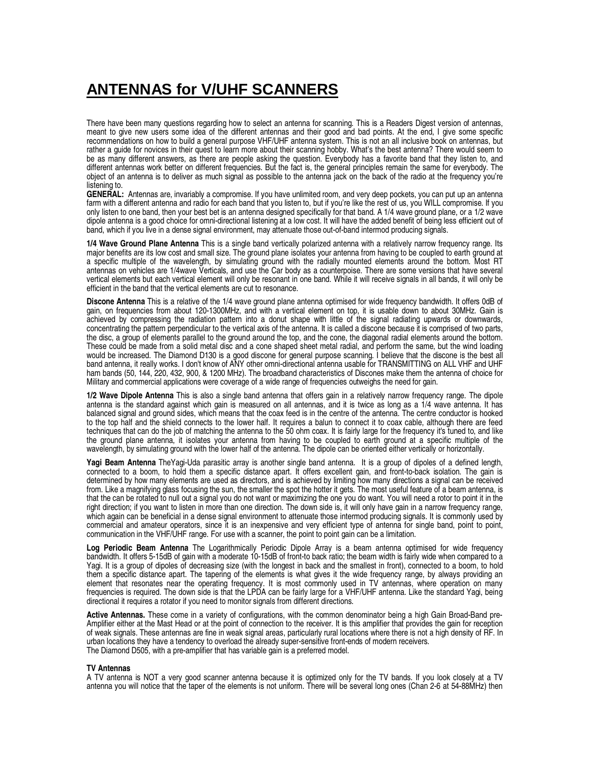## **ANTENNAS for V/UHF SCANNERS**

There have been many questions regarding how to select an antenna for scanning. This is a Readers Digest version of antennas, meant to give new users some idea of the different antennas and their good and bad points. At the end, I give some specific recommendations on how to build a general purpose VHF/UHF antenna system. This is not an all inclusive book on antennas, but rather a guide for novices in their quest to learn more about their scanning hobby. What's the best antenna? There would seem to be as many different answers, as there are people asking the question. Everybody has a favorite band that they listen to, and different antennas work better on different frequencies. But the fact is, the general principles remain the same for everybody. The object of an antenna is to deliver as much signal as possible to the antenna jack on the back of the radio at the frequency you're listening to.

**GENERAL:** Antennas are, invariably a compromise. If you have unlimited room, and very deep pockets, you can put up an antenna farm with a different antenna and radio for each band that you listen to, but if you're like the rest of us, you WILL compromise. If you only listen to one band, then your best bet is an antenna designed specifically for that band. A 1/4 wave ground plane, or a 1/2 wave dipole antenna is a good choice for omni-directional listening at a low cost. It will have the added benefit of being less efficient out of band, which if you live in a dense signal environment, may attenuate those out-of-band intermod producing signals.

**1/4 Wave Ground Plane Antenna** This is a single band vertically polarized antenna with a relatively narrow frequency range. Its major benefits are its low cost and small size. The ground plane isolates your antenna from having to be coupled to earth ground at a specific multiple of the wavelength, by simulating ground with the radially mounted elements around the bottom. Most RT antennas on vehicles are 1/4wave Verticals, and use the Car body as a counterpoise. There are some versions that have several vertical elements but each vertical element will only be resonant in one band. While it will receive signals in all bands, it will only be efficient in the band that the vertical elements are cut to resonance.

**Discone Antenna** This is a relative of the 1/4 wave ground plane antenna optimised for wide frequency bandwidth. It offers 0dB of gain, on frequencies from about 120-1300MHz, and with a vertical element on top, it is usable down to about 30MHz. Gain is achieved by compressing the radiation pattern into a donut shape with little of the signal radiating upwards or downwards, concentrating the pattern perpendicular to the vertical axis of the antenna. It is called a discone because it is comprised of two parts, the disc, a group of elements parallel to the ground around the top, and the cone, the diagonal radial elements around the bottom. These could be made from a solid metal disc and a cone shaped sheet metal radial, and perform the same, but the wind loading would be increased. The Diamond D130 is a good discone for general purpose scanning. I believe that the discone is the best all band antenna, it really works. I don't know of ANY other omni-directional antenna usable for TRANSMITTING on ALL VHF and UHF ham bands (50, 144, 220, 432, 900, & 1200 MHz). The broadband characteristics of Discones make them the antenna of choice for Military and commercial applications were coverage of a wide range of frequencies outweighs the need for gain.

**1/2 Wave Dipole Antenna** This is also a single band antenna that offers gain in a relatively narrow frequency range. The dipole antenna is the standard against which gain is measured on all antennas, and it is twice as long as a 1/4 wave antenna. It has balanced signal and ground sides, which means that the coax feed is in the centre of the antenna. The centre conductor is hooked to the top half and the shield connects to the lower half. It requires a balun to connect it to coax cable, although there are feed techniques that can do the job of matching the antenna to the 50 ohm coax. It is fairly large for the frequency it's tuned to, and like the ground plane antenna, it isolates your antenna from having to be coupled to earth ground at a specific multiple of the wavelength, by simulating ground with the lower half of the antenna. The dipole can be oriented either vertically or horizontally.

**Yagi Beam Antenna** TheYagi-Uda parasitic array is another single band antenna. It is a group of dipoles of a defined length, connected to a boom, to hold them a specific distance apart. It offers excellent gain, and front-to-back isolation. The gain is determined by how many elements are used as directors, and is achieved by limiting how many directions a signal can be received from. Like a magnifying glass focusing the sun, the smaller the spot the hotter it gets. The most useful feature of a beam antenna, is that the can be rotated to null out a signal you do not want or maximizing the one you do want. You will need a rotor to point it in the right direction; if you want to listen in more than one direction. The down side is, it will only have gain in a narrow frequency range, which again can be beneficial in a dense signal environment to attenuate those intermod producing signals. It is commonly used by commercial and amateur operators, since it is an inexpensive and very efficient type of antenna for single band, point to point, communication in the VHF/UHF range. For use with a scanner, the point to point gain can be a limitation.

**Log Periodic Beam Antenna** The Logarithmically Periodic Dipole Array is a beam antenna optimised for wide frequency bandwidth. It offers 5-15dB of gain with a moderate 10-15dB of front-to back ratio; the beam width is fairly wide when compared to a Yagi. It is a group of dipoles of decreasing size (with the longest in back and the smallest in front), connected to a boom, to hold them a specific distance apart. The tapering of the elements is what gives it the wide frequency range, by always providing an element that resonates near the operating frequency. It is most commonly used in TV antennas, where operation on many frequencies is required. The down side is that the LPDA can be fairly large for a VHF/UHF antenna. Like the standard Yagi, being directional it requires a rotator if you need to monitor signals from different directions.

**Active Antennas.** These come in a variety of configurations, with the common denominator being a high Gain Broad-Band pre-Amplifier either at the Mast Head or at the point of connection to the receiver. It is this amplifier that provides the gain for reception of weak signals. These antennas are fine in weak signal areas, particularly rural locations where there is not a high density of RF. In urban locations they have a tendency to overload the already super-sensitive front-ends of modern receivers. The Diamond D505, with a pre-amplifier that has variable gain is a preferred model.

## **TV Antennas**

A TV antenna is NOT a very good scanner antenna because it is optimized only for the TV bands. If you look closely at a TV antenna you will notice that the taper of the elements is not uniform. There will be several long ones (Chan 2-6 at 54-88MHz) then